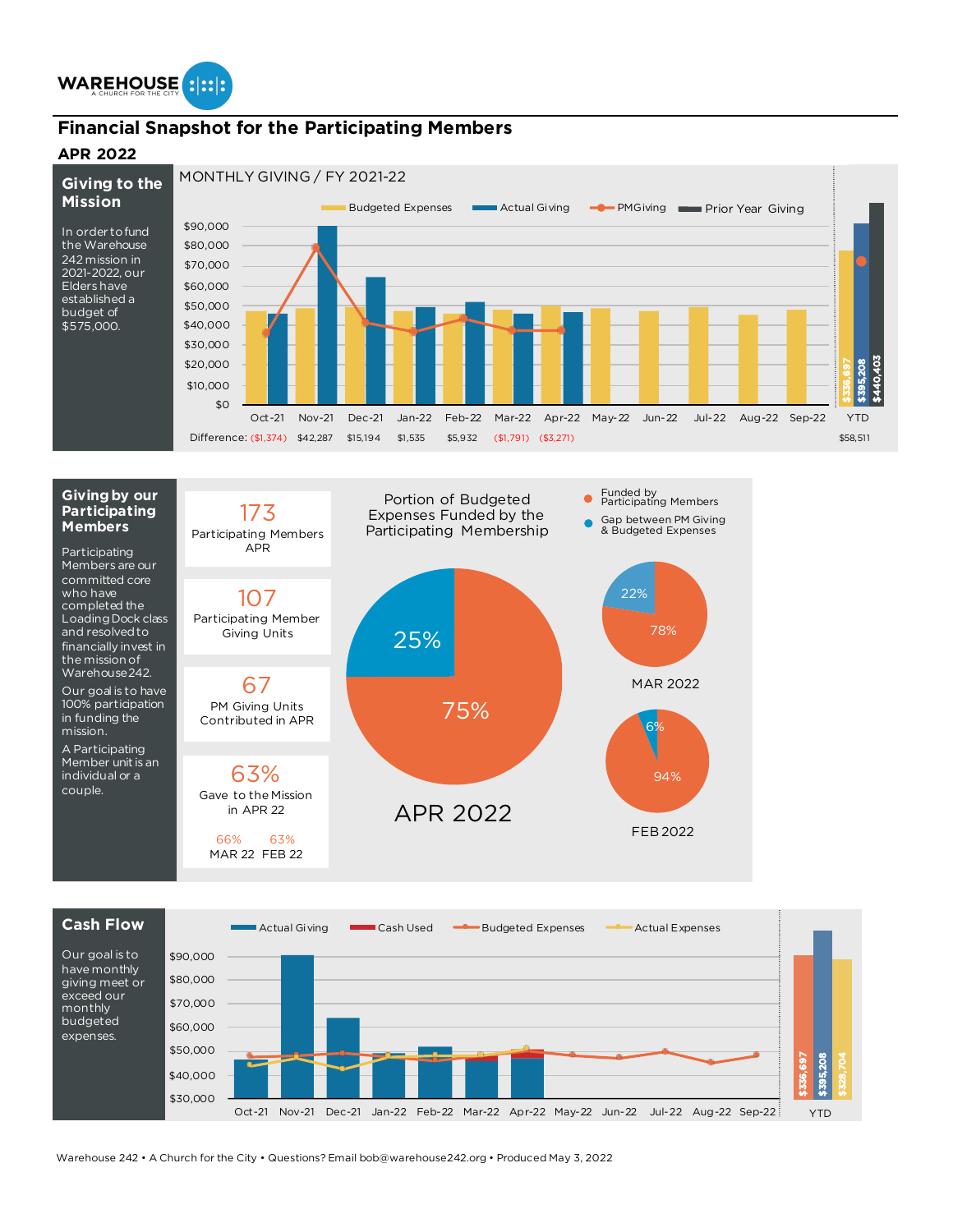

### **Financial Snapshot for the Participating Members**

#### **APR 2022**